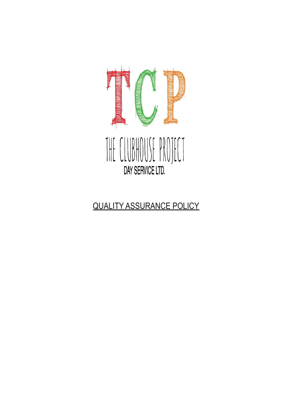

# QUALITY ASSURANCE POLICY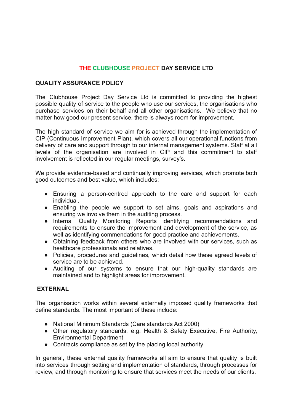# **THE CLUBHOUSE PROJECT DAY SERVICE LTD**

## **QUALITY ASSURANCE POLICY**

The Clubhouse Project Day Service Ltd is committed to providing the highest possible quality of service to the people who use our services, the organisations who purchase services on their behalf and all other organisations. We believe that no matter how good our present service, there is always room for improvement.

The high standard of service we aim for is achieved through the implementation of CIP (Continuous Improvement Plan), which covers all our operational functions from delivery of care and support through to our internal management systems. Staff at all levels of the organisation are involved in CIP and this commitment to staff involvement is reflected in our regular meetings, survey's.

We provide evidence-based and continually improving services, which promote both good outcomes and best value, which includes:

- Ensuring a person-centred approach to the care and support for each individual.
- Enabling the people we support to set aims, goals and aspirations and ensuring we involve them in the auditing process.
- Internal Quality Monitoring Reports identifying recommendations and requirements to ensure the improvement and development of the service, as well as identifying commendations for good practice and achievements.
- Obtaining feedback from others who are involved with our services, such as healthcare professionals and relatives.
- Policies, procedures and guidelines, which detail how these agreed levels of service are to be achieved.
- Auditing of our systems to ensure that our high-quality standards are maintained and to highlight areas for improvement.

## **EXTERNAL**

The organisation works within several externally imposed quality frameworks that define standards. The most important of these include:

- National Minimum Standards (Care standards Act 2000)
- Other regulatory standards, e.g. Health & Safety Executive, Fire Authority, Environmental Department
- Contracts compliance as set by the placing local authority

In general, these external quality frameworks all aim to ensure that quality is built into services through setting and implementation of standards, through processes for review, and through monitoring to ensure that services meet the needs of our clients.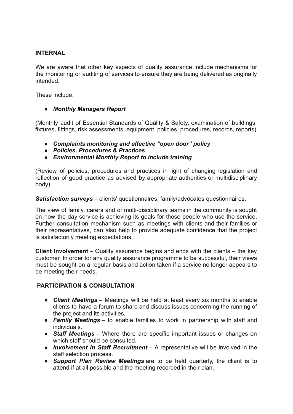## **INTERNAL**

We are aware that other key aspects of quality assurance include mechanisms for the monitoring or auditing of services to ensure they are being delivered as originally intended.

These include:

# ● *Monthly Managers Report*

(Monthly audit of Essential Standards of Quality & Safety, examination of buildings, fixtures, fittings, risk assessments, equipment, policies, procedures, records, reports)

- *Complaints monitoring and effective "open door" policy*
- *Policies, Procedures & Practices*
- *Environmental Monthly Report to include training*

(Review of policies, procedures and practices in light of changing legislation and reflection of good practice as advised by appropriate authorities or multidisciplinary body)

*Satisfaction surveys* – clients' questionnaires, family/advocates questionnaires,

The view of family, carers and of multi-disciplinary teams in the community is sought on how the day service is achieving its goals for those people who use the service. Further consultation mechanism such as meetings with clients and their families or their representatives, can also help to provide adequate confidence that the project is satisfactorily meeting expectations.

**Client Involvement** – Quality assurance begins and ends with the clients – the key customer. In order for any quality assurance programme to be successful, their views must be sought on a regular basis and action taken if a service no longer appears to be meeting their needs.

## **PARTICIPATION & CONSULTATION**

- *Client Meetings* Meetings will be held at least every six months to enable clients to have a forum to share and discuss issues concerning the running of the project and its activities.
- *Family Meetings* to enable families to work in partnership with staff and individuals.
- *Staff Meetings* Where there are specific important issues or changes on which staff should be consulted.
- *Involvement in Staff Recruitment* A representative will be involved in the staff selection process.
- *Support Plan Review Meetings* are to be held quarterly, the client is to attend if at all possible and the meeting recorded in their plan.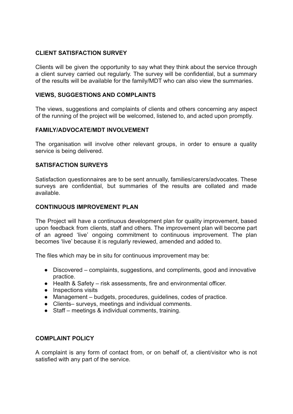# **CLIENT SATISFACTION SURVEY**

Clients will be given the opportunity to say what they think about the service through a client survey carried out regularly. The survey will be confidential, but a summary of the results will be available for the family/MDT who can also view the summaries.

# **VIEWS, SUGGESTIONS AND COMPLAINTS**

The views, suggestions and complaints of clients and others concerning any aspect of the running of the project will be welcomed, listened to, and acted upon promptly.

## **FAMILY/ADVOCATE/MDT INVOLVEMENT**

The organisation will involve other relevant groups, in order to ensure a quality service is being delivered.

## **SATISFACTION SURVEYS**

Satisfaction questionnaires are to be sent annually, families/carers/advocates. These survevs are confidential, but summaries of the results are collated and made available.

# **CONTINUOUS IMPROVEMENT PLAN**

The Project will have a continuous development plan for quality improvement, based upon feedback from clients, staff and others. The improvement plan will become part of an agreed 'live' ongoing commitment to continuous improvement. The plan becomes 'live' because it is regularly reviewed, amended and added to.

The files which may be in situ for continuous improvement may be:

- Discovered complaints, suggestions, and compliments, good and innovative practice.
- Health & Safety risk assessments, fire and environmental officer.
- Inspections visits
- Management budgets, procedures, guidelines, codes of practice.
- Clients– surveys, meetings and individual comments.
- Staff meetings & individual comments, training.

## **COMPLAINT POLICY**

A complaint is any form of contact from, or on behalf of, a client/visitor who is not satisfied with any part of the service.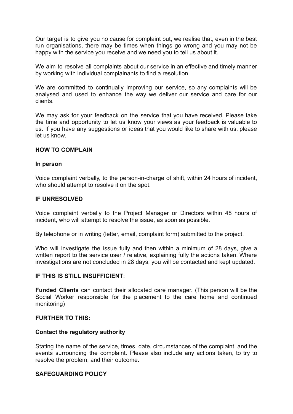Our target is to give you no cause for complaint but, we realise that, even in the best run organisations, there may be times when things go wrong and you may not be happy with the service you receive and we need you to tell us about it.

We aim to resolve all complaints about our service in an effective and timely manner by working with individual complainants to find a resolution.

We are committed to continually improving our service, so any complaints will be analysed and used to enhance the way we deliver our service and care for our clients.

We may ask for your feedback on the service that you have received. Please take the time and opportunity to let us know your views as your feedback is valuable to us. If you have any suggestions or ideas that you would like to share with us, please let us know.

#### **HOW TO COMPLAIN**

#### **In person**

Voice complaint verbally, to the person-in-charge of shift, within 24 hours of incident, who should attempt to resolve it on the spot.

#### **IF UNRESOLVED**

Voice complaint verbally to the Project Manager or Directors within 48 hours of incident, who will attempt to resolve the issue, as soon as possible.

By telephone or in writing (letter, email, complaint form) submitted to the project.

Who will investigate the issue fully and then within a minimum of 28 days, give a written report to the service user / relative, explaining fully the actions taken. Where investigations are not concluded in 28 days, you will be contacted and kept updated.

#### **IF THIS IS STILL INSUFFICIENT**:

**Funded Clients** can contact their allocated care manager. (This person will be the Social Worker responsible for the placement to the care home and continued monitoring)

#### **FURTHER TO THIS:**

#### **Contact the regulatory authority**

Stating the name of the service, times, date, circumstances of the complaint, and the events surrounding the complaint. Please also include any actions taken, to try to resolve the problem, and their outcome.

## **SAFEGUARDING POLICY**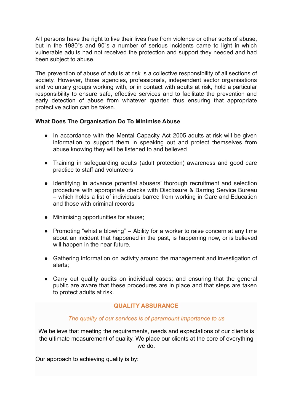All persons have the right to live their lives free from violence or other sorts of abuse, but in the 1980"s and 90"s a number of serious incidents came to light in which vulnerable adults had not received the protection and support they needed and had been subject to abuse.

The prevention of abuse of adults at risk is a collective responsibility of all sections of society. However, those agencies, professionals, independent sector organisations and voluntary groups working with, or in contact with adults at risk, hold a particular responsibility to ensure safe, effective services and to facilitate the prevention and early detection of abuse from whatever quarter, thus ensuring that appropriate protective action can be taken.

## **What Does The Organisation Do To Minimise Abuse**

- In accordance with the Mental Capacity Act 2005 adults at risk will be given information to support them in speaking out and protect themselves from abuse knowing they will be listened to and believed
- Training in safeguarding adults (adult protection) awareness and good care practice to staff and volunteers
- Identifying in advance potential abusers' thorough recruitment and selection procedure with appropriate checks with Disclosure & Barring Service Bureau – which holds a list of individuals barred from working in Care and Education and those with criminal records
- Minimising opportunities for abuse;
- Promoting "whistle blowing" Ability for a worker to raise concern at any time about an incident that happened in the past, is happening now, or is believed will happen in the near future.
- Gathering information on activity around the management and investigation of alerts;
- Carry out quality audits on individual cases; and ensuring that the general public are aware that these procedures are in place and that steps are taken to protect adults at risk.

## **QUALITY ASSURANCE**

## *The quality of our services is of paramount importance to us*

We believe that meeting the requirements, needs and expectations of our clients is the ultimate measurement of quality. We place our clients at the core of everything we do.

Our approach to achieving quality is by: